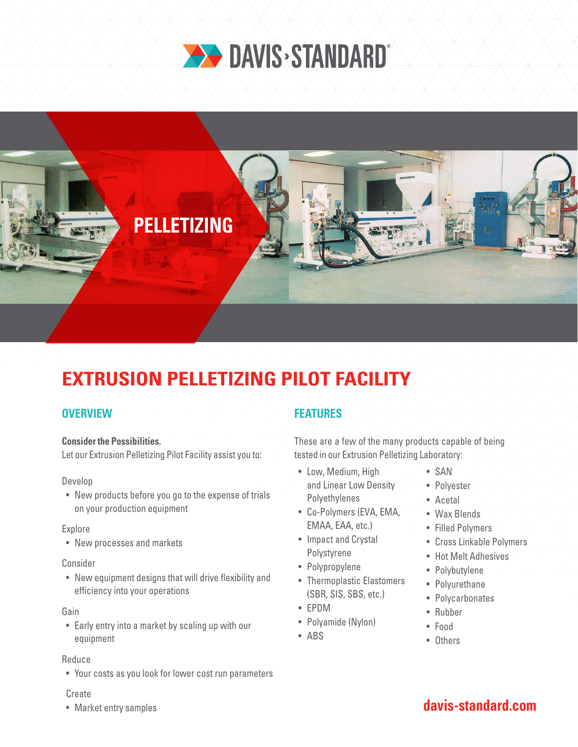



# **EXTRUSION PELLETIZING PILOT FACILITY**

## **OVERVIEW**

## **Consider the Possibilities.**

Let our Extrusion Pelletizing Pilot Facility assist you to:

## Develop

• New products before you go to the expense of trials on your production equipment

#### Explore

• New processes and markets

#### Consider

• New equipment designs that will drive flexibility and efficiency into your operations

#### Gain

• Early entry into a market by scaling up with our equipment

## Reduce

• Your costs as you look for lower cost run parameters

## Create

• Market entry samples

## **FEATURES**

These are a few of the many products capable of being tested in our Extrusion Pelletizing Laboratory:

- Low, Medium, High and Linear Low Density Polyethylenes
- Co-Polymers (EVA, EMA, EMAA, EAA, etc.)
- Impact and Crystal Polystyrene
- Polypropylene
- Thermoplastic Elastomers (SBR, SIS, SBS, etc.)
- EPDM
- Polyamide (Nylon)
- ABS
- SAN
- Polyester
- Acetal
- Wax Blends
- Filled Polymers
- Cross Linkable Polymers
- Hot Melt Adhesives
- Polybutylene
- Polyurethane
- Polycarbonates
- Rubber
- Food
- Others

## **davis-standard.com**